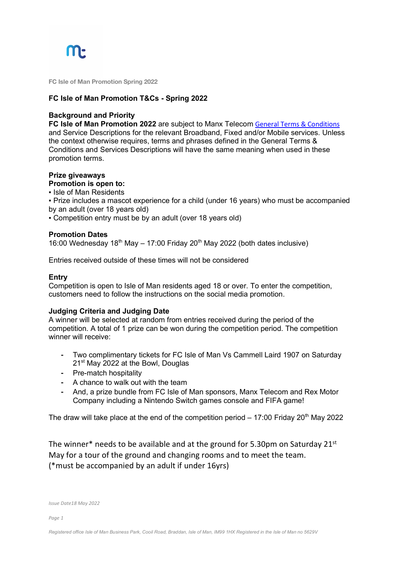

**FC Isle of Man Promotion Spring 2022**

#### **FC Isle of Man Promotion T&Cs - Spring 2022**

#### **Background and Priority**

**FC Isle of Man Promotion 2022** are subject to Manx Telecom General Terms & Conditions and Service Descriptions for the relevant Broadband, Fixed and/or Mobile services. Unless the context otherwise requires, terms and phrases defined in the General Terms & Conditions and Services Descriptions will have the same meaning when used in these promotion terms.

#### **Prize giveaways**

### **Promotion is open to:**

▪ Isle of Man Residents

▪ Prize includes a mascot experience for a child (under 16 years) who must be accompanied by an adult (over 18 years old)

▪ Competition entry must be by an adult (over 18 years old)

#### **Promotion Dates**

16:00 Wednesday  $18^{th}$  May – 17:00 Friday  $20^{th}$  May 2022 (both dates inclusive)

Entries received outside of these times will not be considered

#### **Entry**

Competition is open to Isle of Man residents aged 18 or over. To enter the competition, customers need to follow the instructions on the social media promotion.

#### **Judging Criteria and Judging Date**

A winner will be selected at random from entries received during the period of the competition. A total of 1 prize can be won during the competition period. The competition winner will receive:

- Two complimentary tickets for FC Isle of Man Vs Cammell Laird 1907 on Saturday 21<sup>st</sup> May 2022 at the Bowl, Douglas
- ⁃ Pre-match hospitality
- ⁃ A chance to walk out with the team
- And, a prize bundle from FC Isle of Man sponsors, Manx Telecom and Rex Motor Company including a Nintendo Switch games console and FIFA game!

The draw will take place at the end of the competition period  $-17:00$  Friday 20<sup>th</sup> May 2022

The winner\* needs to be available and at the ground for 5.30pm on Saturday 21st May for a tour of the ground and changing rooms and to meet the team. (\*must be accompanied by an adult if under 16yrs)

*Issue Date18 May 2022*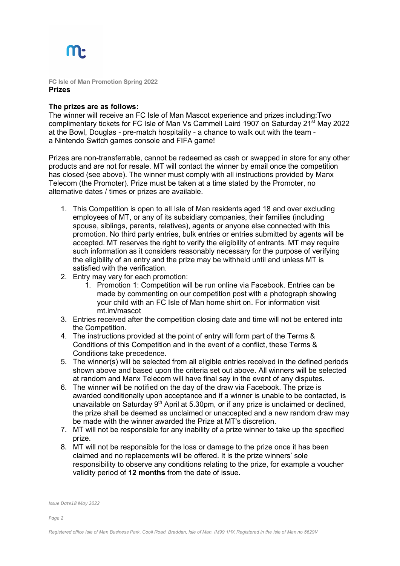## M

**FC Isle of Man Promotion Spring 2022 Prizes**

#### **The prizes are as follows:**

The winner will receive an FC Isle of Man Mascot experience and prizes including:Two complimentary tickets for FC Isle of Man Vs Cammell Laird 1907 on Saturday 21st May 2022 at the Bowl, Douglas - pre-match hospitality - a chance to walk out with the team a Nintendo Switch games console and FIFA game!

Prizes are non-transferrable, cannot be redeemed as cash or swapped in store for any other products and are not for resale. MT will contact the winner by email once the competition has closed (see above). The winner must comply with all instructions provided by Manx Telecom (the Promoter). Prize must be taken at a time stated by the Promoter, no alternative dates / times or prizes are available.

- 1. This Competition is open to all Isle of Man residents aged 18 and over excluding employees of MT, or any of its subsidiary companies, their families (including spouse, siblings, parents, relatives), agents or anyone else connected with this promotion. No third party entries, bulk entries or entries submitted by agents will be accepted. MT reserves the right to verify the eligibility of entrants. MT may require such information as it considers reasonably necessary for the purpose of verifying the eligibility of an entry and the prize may be withheld until and unless MT is satisfied with the verification.
- 2. Entry may vary for each promotion:
	- 1. Promotion 1: Competition will be run online via Facebook. Entries can be made by commenting on our competition post with a photograph showing your child with an FC Isle of Man home shirt on. For information visit mt.im/mascot
- 3. Entries received after the competition closing date and time will not be entered into the Competition.
- 4. The instructions provided at the point of entry will form part of the Terms & Conditions of this Competition and in the event of a conflict, these Terms & Conditions take precedence.
- 5. The winner(s) will be selected from all eligible entries received in the defined periods shown above and based upon the criteria set out above. All winners will be selected at random and Manx Telecom will have final say in the event of any disputes.
- 6. The winner will be notified on the day of the draw via Facebook. The prize is awarded conditionally upon acceptance and if a winner is unable to be contacted, is unavailable on Saturday  $9<sup>th</sup>$  April at 5.30pm, or if any prize is unclaimed or declined, the prize shall be deemed as unclaimed or unaccepted and a new random draw may be made with the winner awarded the Prize at MT's discretion.
- 7. MT will not be responsible for any inability of a prize winner to take up the specified prize.
- 8. MT will not be responsible for the loss or damage to the prize once it has been claimed and no replacements will be offered. It is the prize winners' sole responsibility to observe any conditions relating to the prize, for example a voucher validity period of **12 months** from the date of issue.

*Issue Date18 May 2022*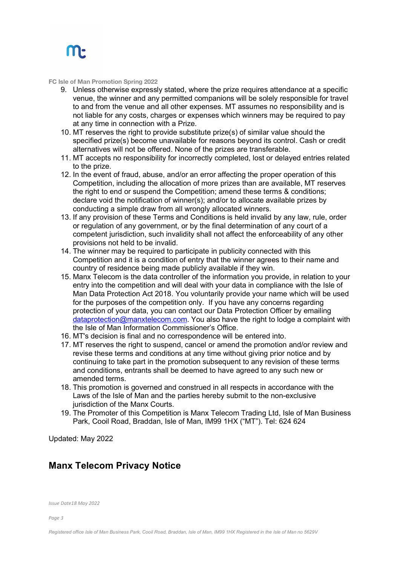

**FC Isle of Man Promotion Spring 2022**

- 9. Unless otherwise expressly stated, where the prize requires attendance at a specific venue, the winner and any permitted companions will be solely responsible for travel to and from the venue and all other expenses. MT assumes no responsibility and is not liable for any costs, charges or expenses which winners may be required to pay at any time in connection with a Prize.
- 10. MT reserves the right to provide substitute prize(s) of similar value should the specified prize(s) become unavailable for reasons beyond its control. Cash or credit alternatives will not be offered. None of the prizes are transferable.
- 11. MT accepts no responsibility for incorrectly completed, lost or delayed entries related to the prize.
- 12. In the event of fraud, abuse, and/or an error affecting the proper operation of this Competition, including the allocation of more prizes than are available, MT reserves the right to end or suspend the Competition; amend these terms & conditions; declare void the notification of winner(s); and/or to allocate available prizes by conducting a simple draw from all wrongly allocated winners.
- 13. If any provision of these Terms and Conditions is held invalid by any law, rule, order or regulation of any government, or by the final determination of any court of a competent jurisdiction, such invalidity shall not affect the enforceability of any other provisions not held to be invalid.
- 14. The winner may be required to participate in publicity connected with this Competition and it is a condition of entry that the winner agrees to their name and country of residence being made publicly available if they win.
- 15. Manx Telecom is the data controller of the information you provide, in relation to your entry into the competition and will deal with your data in compliance with the Isle of Man Data Protection Act 2018. You voluntarily provide your name which will be used for the purposes of the competition only. If you have any concerns regarding protection of your data, you can contact our Data Protection Officer by emailing dataprotection@manxtelecom.com. You also have the right to lodge a complaint with the Isle of Man Information Commissioner's Office.
- 16. MT's decision is final and no correspondence will be entered into.
- 17. MT reserves the right to suspend, cancel or amend the promotion and/or review and revise these terms and conditions at any time without giving prior notice and by continuing to take part in the promotion subsequent to any revision of these terms and conditions, entrants shall be deemed to have agreed to any such new or amended terms.
- 18. This promotion is governed and construed in all respects in accordance with the Laws of the Isle of Man and the parties hereby submit to the non-exclusive jurisdiction of the Manx Courts.
- 19. The Promoter of this Competition is Manx Telecom Trading Ltd, Isle of Man Business Park, Cooil Road, Braddan, Isle of Man, IM99 1HX ("MT"). Tel: 624 624

Updated: May 2022

## **Manx Telecom Privacy Notice**

*Issue Date18 May 2022*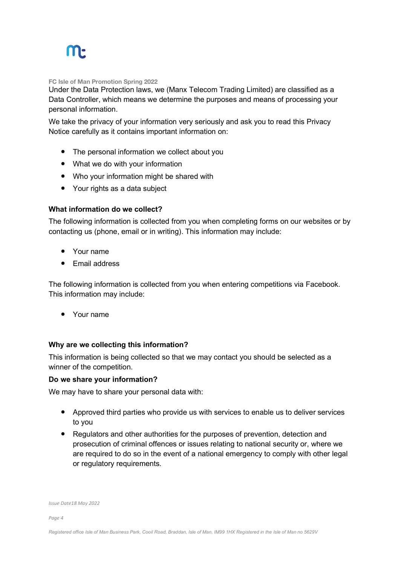## **M**

**FC Isle of Man Promotion Spring 2022**

Under the Data Protection laws, we (Manx Telecom Trading Limited) are classified as a Data Controller, which means we determine the purposes and means of processing your personal information.

We take the privacy of your information very seriously and ask you to read this Privacy Notice carefully as it contains important information on:

- The personal information we collect about you
- What we do with your information
- Who your information might be shared with
- Your rights as a data subject

## **What information do we collect?**

The following information is collected from you when completing forms on our websites or by contacting us (phone, email or in writing). This information may include:

- Your name
- Email address

The following information is collected from you when entering competitions via Facebook. This information may include:

• Your name

## **Why are we collecting this information?**

This information is being collected so that we may contact you should be selected as a winner of the competition.

## **Do we share your information?**

We may have to share your personal data with:

- ! Approved third parties who provide us with services to enable us to deliver services to you
- ! Regulators and other authorities for the purposes of prevention, detection and prosecution of criminal offences or issues relating to national security or, where we are required to do so in the event of a national emergency to comply with other legal or regulatory requirements.

*Issue Date18 May 2022*